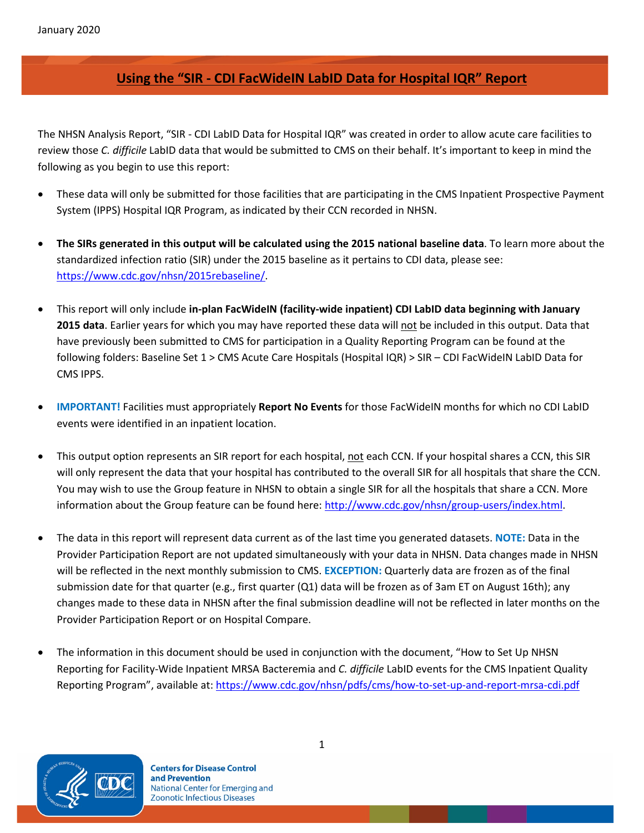# **Using the "SIR - CDI FacWideIN LabID Data for Hospital IQR" Report**

The NHSN Analysis Report, "SIR - CDI LabID Data for Hospital IQR" was created in order to allow acute care facilities to review those *C. difficile* LabID data that would be submitted to CMS on their behalf. It's important to keep in mind the following as you begin to use this report:

- These data will only be submitted for those facilities that are participating in the CMS Inpatient Prospective Payment System (IPPS) Hospital IQR Program, as indicated by their CCN recorded in NHSN.
- **The SIRs generated in this output will be calculated using the 2015 national baseline data**. To learn more about the standardized infection ratio (SIR) under the 2015 baseline as it pertains to CDI data, please see: [https://www.cdc.gov/nhsn/2015rebaseline/.](https://www.cdc.gov/nhsn/2015rebaseline/)
- This report will only include **in-plan FacWideIN (facility-wide inpatient) CDI LabID data beginning with January 2015 data**. Earlier years for which you may have reported these data will not be included in this output. Data that have previously been submitted to CMS for participation in a Quality Reporting Program can be found at the following folders: Baseline Set 1 > CMS Acute Care Hospitals (Hospital IQR) > SIR – CDI FacWideIN LabID Data for CMS IPPS.
- **IMPORTANT!** Facilities must appropriately **Report No Events** for those FacWideIN months for which no CDI LabID events were identified in an inpatient location.
- This output option represents an SIR report for each hospital, not each CCN. If your hospital shares a CCN, this SIR will only represent the data that your hospital has contributed to the overall SIR for all hospitals that share the CCN. You may wish to use the Group feature in NHSN to obtain a single SIR for all the hospitals that share a CCN. More information about the Group feature can be found here: [http://www.cdc.gov/nhsn/group-users/index.html.](http://www.cdc.gov/nhsn/group-users/index.html)
- The data in this report will represent data current as of the last time you generated datasets. **NOTE:** Data in the Provider Participation Report are not updated simultaneously with your data in NHSN. Data changes made in NHSN will be reflected in the next monthly submission to CMS. **EXCEPTION:** Quarterly data are frozen as of the final submission date for that quarter (e.g., first quarter (Q1) data will be frozen as of 3am ET on August 16th); any changes made to these data in NHSN after the final submission deadline will not be reflected in later months on the Provider Participation Report or on Hospital Compare.
- The information in this document should be used in conjunction with the document, "How to Set Up NHSN Reporting for Facility-Wide Inpatient MRSA Bacteremia and *C. difficile* LabID events for the CMS Inpatient Quality Reporting Program", available at: <https://www.cdc.gov/nhsn/pdfs/cms/how-to-set-up-and-report-mrsa-cdi.pdf>

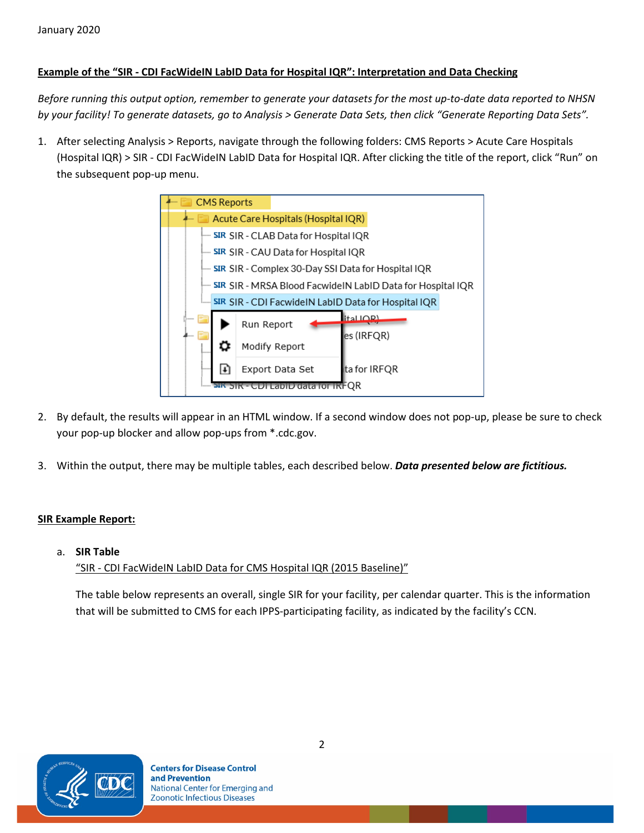## **Example of the "SIR - CDI FacWideIN LabID Data for Hospital IQR": Interpretation and Data Checking**

*Before running this output option, remember to generate your datasets for the most up-to-date data reported to NHSN by your facility! To generate datasets, go to Analysis > Generate Data Sets, then click "Generate Reporting Data Sets".*

1. After selecting Analysis > Reports, navigate through the following folders: CMS Reports > Acute Care Hospitals (Hospital IQR) > SIR - CDI FacWideIN LabID Data for Hospital IQR. After clicking the title of the report, click "Run" on the subsequent pop-up menu.



- 2. By default, the results will appear in an HTML window. If a second window does not pop-up, please be sure to check your pop-up blocker and allow pop-ups from \*.cdc.gov.
- 3. Within the output, there may be multiple tables, each described below. *Data presented below are fictitious.*

## **SIR Example Report:**

a. **SIR Table**

"SIR - CDI FacWideIN LabID Data for CMS Hospital IQR (2015 Baseline)"

The table below represents an overall, single SIR for your facility, per calendar quarter. This is the information that will be submitted to CMS for each IPPS-participating facility, as indicated by the facility's CCN.

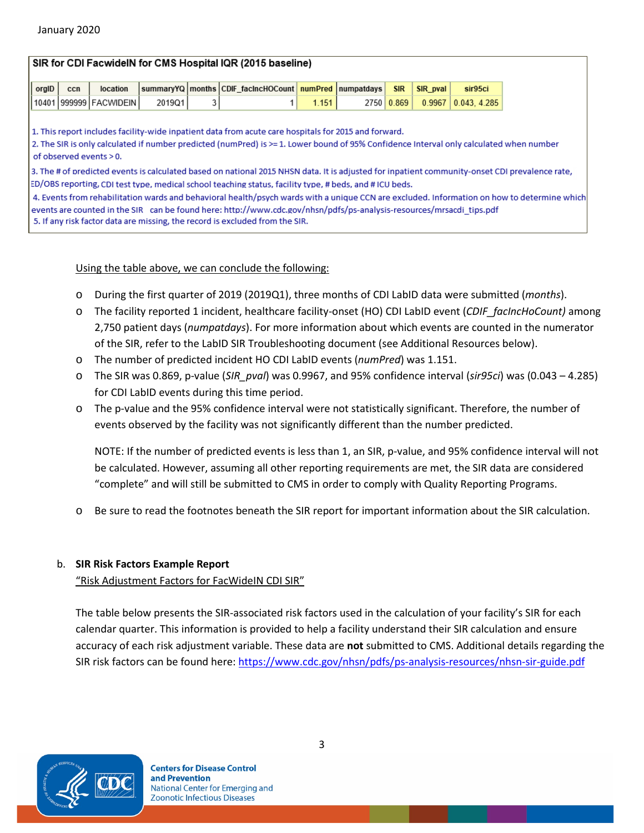### SIR for CDI FacwidelN for CMS Hospital IQR (2015 baseline)

|  |                        |        | orgID   ccn   location  summaryYQ  months CDIF_facIncHOCount   numPred  numpatdays   SIR   SIR_pval |       |  | sir95ci                       |
|--|------------------------|--------|-----------------------------------------------------------------------------------------------------|-------|--|-------------------------------|
|  | 10401 999999 FACWIDEIN | 2019Q1 |                                                                                                     | 1.151 |  | 2750 0.869 0.9967 0.043 4.285 |

1. This report includes facility-wide inpatient data from acute care hospitals for 2015 and forward.

2. The SIR is only calculated if number predicted (numPred) is >=1. Lower bound of 95% Confidence Interval only calculated when number of observed events > 0.

3. The #of predicted events is calculated based on national 2015 NHSN data. It is adjusted for inpatient community-onset CDI prevalence rate, ED/OBS reporting, CDI test type, medical school teaching status, facility type, # beds, and # ICU beds.

4. Events from rehabilitation wards and behavioral health/psych wards with a unique CCN are excluded. Information on how to determine which events are counted in the SIR can be found here: http://www.cdc.gov/nhsn/pdfs/ps-analysis-resources/mrsacdi tips.pdf 5. If any risk factor data are missing, the record is excluded from the SIR.

#### Using the table above, we can conclude the following:

- o During the first quarter of 2019 (2019Q1), three months of CDI LabID data were submitted (*months*).
- o The facility reported 1 incident, healthcare facility-onset (HO) CDI LabID event (*CDIF\_facIncHoCount)* among 2,750 patient days (*numpatdays*). For more information about which events are counted in the numerator of the SIR, refer to the LabID SIR Troubleshooting document (see Additional Resources below).
- o The number of predicted incident HO CDI LabID events (*numPred*) was 1.151.
- o The SIR was 0.869, p-value (*SIR\_pval*) was 0.9967, and 95% confidence interval (*sir95ci*) was (0.043 4.285) for CDI LabID events during this time period.
- o The p-value and the 95% confidence interval were not statistically significant. Therefore, the number of events observed by the facility was not significantly different than the number predicted.

NOTE: If the number of predicted events is less than 1, an SIR, p-value, and 95% confidence interval will not be calculated. However, assuming all other reporting requirements are met, the SIR data are considered "complete" and will still be submitted to CMS in order to comply with Quality Reporting Programs.

o Be sure to read the footnotes beneath the SIR report for important information about the SIR calculation.

### b. **SIR Risk Factors Example Report**

"Risk Adjustment Factors for FacWideIN CDI SIR"

The table below presents the SIR-associated risk factors used in the calculation of your facility's SIR for each calendar quarter. This information is provided to help a facility understand their SIR calculation and ensure accuracy of each risk adjustment variable. These data are **not** submitted to CMS. Additional details regarding the SIR risk factors can be found here[: https://www.cdc.gov/nhsn/pdfs/ps-analysis-resources/nhsn-sir-guide.pdf](https://www.cdc.gov/nhsn/pdfs/ps-analysis-resources/nhsn-sir-guide.pdf)

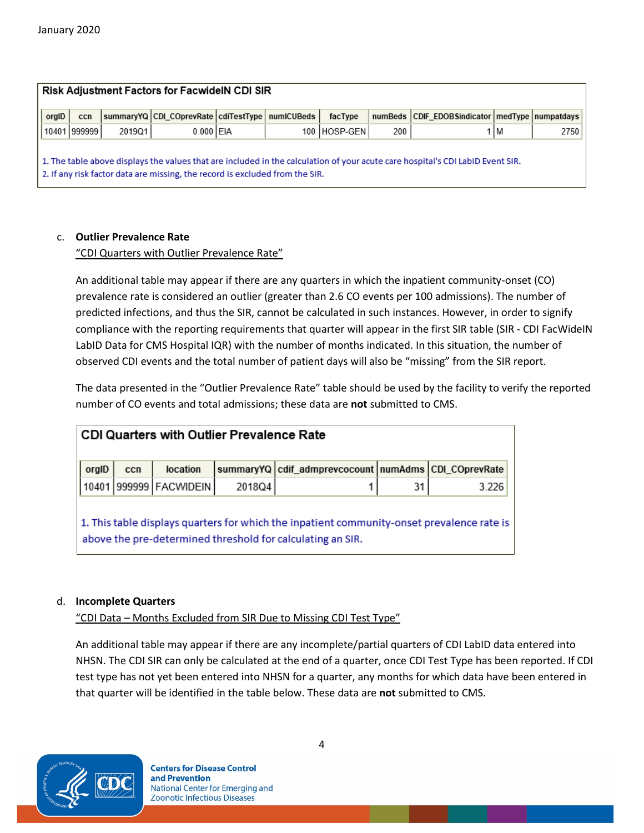|       |              | <b>Risk Adjustment Factors for FacwidelN CDI SIR</b> |                                                                              |  |  |              |     |                                                                                                                                |       |      |
|-------|--------------|------------------------------------------------------|------------------------------------------------------------------------------|--|--|--------------|-----|--------------------------------------------------------------------------------------------------------------------------------|-------|------|
| orgID | ccn          |                                                      | summaryYQ CDI_COprevRate cdiTestType numICUBeds_                             |  |  | facType      |     | numBeds CDIF EDOBSindicator   medType   numpatdays                                                                             |       |      |
|       | 10401 999999 | 2019Q1                                               | $0.000$ EIA                                                                  |  |  | 100 HOSP-GEN | 200 |                                                                                                                                | 1 I M | 2750 |
|       |              |                                                      | 2. If any risk factor data are missing, the record is excluded from the SIR. |  |  |              |     | 1. The table above displays the values that are included in the calculation of your acute care hospital's CDI LabID Event SIR. |       |      |

### c. **Outlier Prevalence Rate**

"CDI Quarters with Outlier Prevalence Rate"

An additional table may appear if there are any quarters in which the inpatient community-onset (CO) prevalence rate is considered an outlier (greater than 2.6 CO events per 100 admissions). The number of predicted infections, and thus the SIR, cannot be calculated in such instances. However, in order to signify compliance with the reporting requirements that quarter will appear in the first SIR table (SIR - CDI FacWideIN LabID Data for CMS Hospital IQR) with the number of months indicated. In this situation, the number of observed CDI events and the total number of patient days will also be "missing" from the SIR report.

The data presented in the "Outlier Prevalence Rate" table should be used by the facility to verify the reported number of CO events and total admissions; these data are **not** submitted to CMS.

|       | <b>CDI Quarters with Outlier Prevalence Rate</b> |                        |        |                                                                                                                                                          |    |       |  |  |
|-------|--------------------------------------------------|------------------------|--------|----------------------------------------------------------------------------------------------------------------------------------------------------------|----|-------|--|--|
| orgID | ccn                                              | location               |        | summaryYQ   cdif_admprevcocount   numAdms   CDI_COprevRate                                                                                               |    |       |  |  |
|       |                                                  | 10401 999999 FACWIDEIN | 2018Q4 |                                                                                                                                                          | 31 | 3.226 |  |  |
|       |                                                  |                        |        | 1. This table displays quarters for which the inpatient community-onset prevalence rate is<br>above the pre-determined threshold for calculating an SIR. |    |       |  |  |

### d. **Incomplete Quarters**

"CDI Data – Months Excluded from SIR Due to Missing CDI Test Type"

An additional table may appear if there are any incomplete/partial quarters of CDI LabID data entered into NHSN. The CDI SIR can only be calculated at the end of a quarter, once CDI Test Type has been reported. If CDI test type has not yet been entered into NHSN for a quarter, any months for which data have been entered in that quarter will be identified in the table below. These data are **not** submitted to CMS.